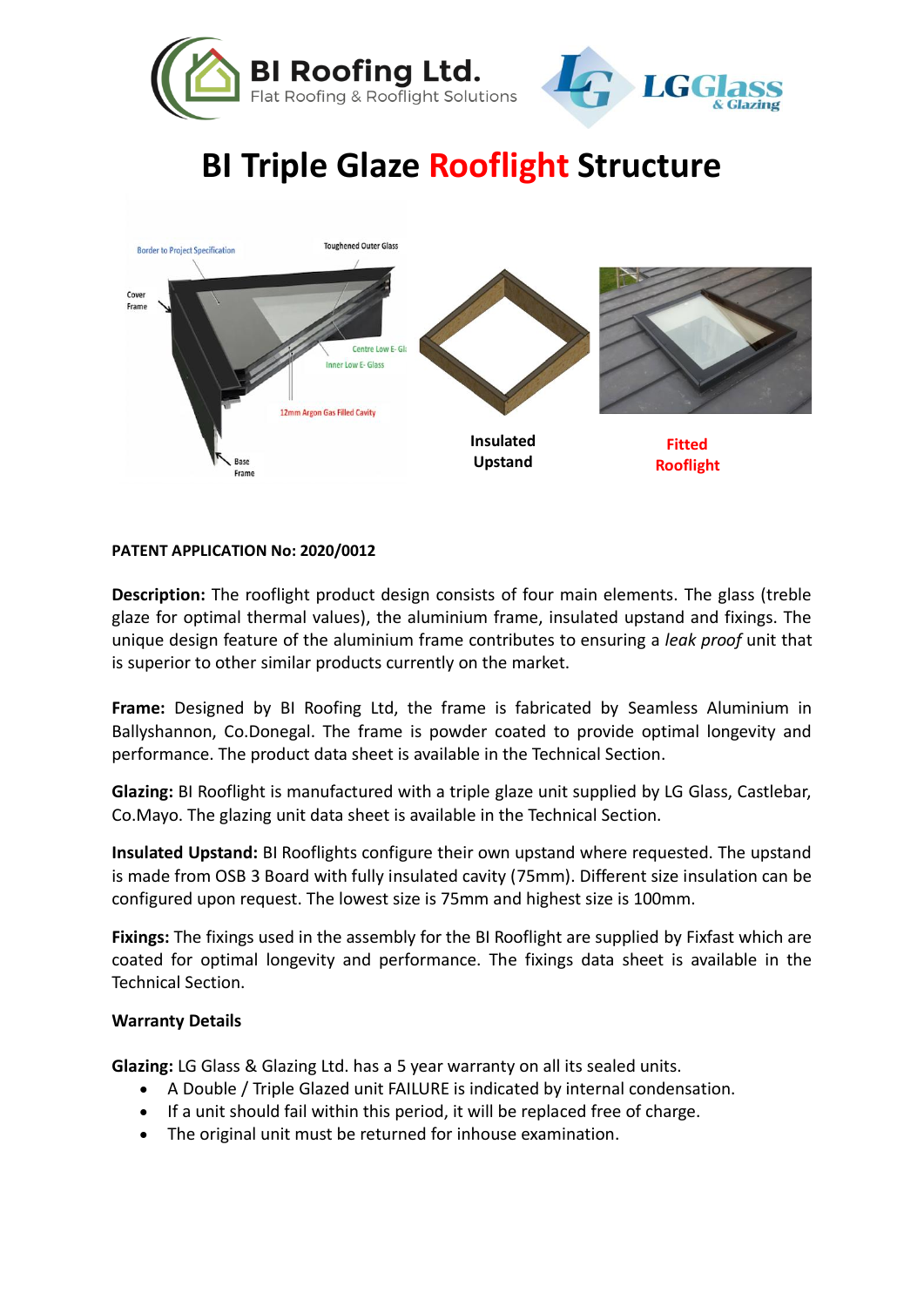



## **BI Triple Glaze Rooflight Structure**



## **PATENT APPLICATION No: 2020/0012**

**Description:** The rooflight product design consists of four main elements. The glass (treble glaze for optimal thermal values), the aluminium frame, insulated upstand and fixings. The unique design feature of the aluminium frame contributes to ensuring a *leak proof* unit that is superior to other similar products currently on the market.

**Frame:** Designed by BI Roofing Ltd, the frame is fabricated by Seamless Aluminium in Ballyshannon, Co.Donegal. The frame is powder coated to provide optimal longevity and performance. The product data sheet is available in the Technical Section.

**Glazing:** BI Rooflight is manufactured with a triple glaze unit supplied by LG Glass, Castlebar, Co.Mayo. The glazing unit data sheet is available in the Technical Section.

**Insulated Upstand:** BI Rooflights configure their own upstand where requested. The upstand is made from OSB 3 Board with fully insulated cavity (75mm). Different size insulation can be configured upon request. The lowest size is 75mm and highest size is 100mm.

**Fixings:** The fixings used in the assembly for the BI Rooflight are supplied by Fixfast which are coated for optimal longevity and performance. The fixings data sheet is available in the Technical Section.

## **Warranty Details**

**Glazing:** LG Glass & Glazing Ltd. has a 5 year warranty on all its sealed units.

- A Double / Triple Glazed unit FAILURE is indicated by internal condensation.
- If a unit should fail within this period, it will be replaced free of charge.
- The original unit must be returned for inhouse examination.